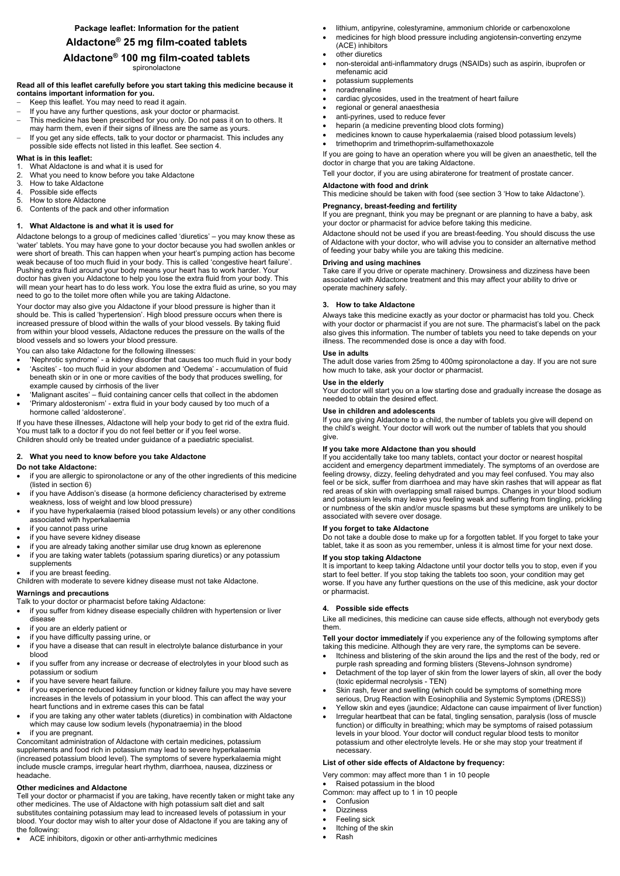# **Aldactone® 25 mg film-coated tablets Aldactone® 100 mg film-coated tablets**

spironolactone

# **Read all of this leaflet carefully before you start taking this medicine because it contains important information for you.**

- Keep this leaflet. You may need to read it again.
- If you have any further questions, ask your doctor or pharmacist.
- This medicine has been prescribed for you only. Do not pass it on to others. It may harm them, even if their signs of illness are the same as yours.
- If you get any side effects, talk to your doctor or pharmacist. This includes any possible side effects not listed in this leaflet. See section 4.

# **What is in this leaflet:**

- 1. What Aldactone is and what it is used for
- 2. What you need to know before you take Aldactone
- 3. How to take Aldactone
- 4. Possible side effects
- 5. How to store Aldactone
- 6. Contents of the pack and other information

# **1. What Aldactone is and what it is used for**

Aldactone belongs to a group of medicines called 'diuretics' – you may know these as 'water' tablets. You may have gone to your doctor because you had swollen ankles or were short of breath. This can happen when your heart's pumping action has become weak because of too much fluid in your body. This is called 'congestive heart failure'. Pushing extra fluid around your body means your heart has to work harder. Your doctor has given you Aldactone to help you lose the extra fluid from your body. This will mean your heart has to do less work. You lose the extra fluid as urine, so you may need to go to the toilet more often while you are taking Aldactone.

Your doctor may also give you Aldactone if your blood pressure is higher than it should be. This is called 'hypertension'. High blood pressure occurs when there is increased pressure of blood within the walls of your blood vessels. By taking fluid from within your blood vessels, Aldactone reduces the pressure on the walls of the blood vessels and so lowers your blood pressure.

You can also take Aldactone for the following illnesses:

- Itchiness and blistering of the skin around the lips and the rest of the body, red or
- 
- if you suffer from any increase or decrease of electrolytes in your blood such as potassium or sodium
- if you have severe heart failure.
- if you experience reduced kidney function or kidney failure you may have severe increases in the levels of potassium in your blood. This can affect the way your heart functions and in extreme cases this can be fatal
- if you are taking any other water tablets (diuretics) in combination with Aldactone which may cause low sodium levels (hyponatraemia) in the blood
- if you are pregnant.
- 'Nephrotic syndrome' a kidney disorder that causes too much fluid in your body
- 'Ascites' too much fluid in your abdomen and 'Oedema' accumulation of fluid beneath skin or in one or more cavities of the body that produces swelling, for example caused by cirrhosis of the liver
- 'Malignant ascites' fluid containing cancer cells that collect in the abdomen
- 'Primary aldosteronism' extra fluid in your body caused by too much of a hormone called 'aldosterone'.

If you have these illnesses, Aldactone will help your body to get rid of the extra fluid. You must talk to a doctor if you do not feel better or if you feel worse. Children should only be treated under guidance of a paediatric specialist.

# **2. What you need to know before you take Aldactone**

#### **Do not take Aldactone:**

- if you are allergic to spironolactone or any of the other ingredients of this medicine (listed in section 6)
- if you have Addison's disease (a hormone deficiency characterised by extreme weakness, loss of weight and low blood pressure)
- if you have hyperkalaemia (raised blood potassium levels) or any other conditions associated with hyperkalaemia
- if you cannot pass urine
- if you have severe kidney disease
- if you are already taking another similar use drug known as eplerenone
- if you are taking water tablets (potassium sparing diuretics) or any potassium supplements
- if you are breast feeding.

Children with moderate to severe kidney disease must not take Aldactone.

#### **Warnings and precautions**

Talk to your doctor or pharmacist before taking Aldactone:

- if you suffer from kidney disease especially children with hypertension or liver disease
- if you are an elderly patient or
- if you have difficulty passing urine, or
- if you have a disease that can result in electrolyte balance disturbance in your blood
- 

Concomitant administration of Aldactone with certain medicines, potassium supplements and food rich in potassium may lead to severe hyperkalaemia (increased potassium blood level). The symptoms of severe hyperkalaemia might include muscle cramps, irregular heart rhythm, diarrhoea, nausea, dizziness or headache.

### **Other medicines and Aldactone**

Tell your doctor or pharmacist if you are taking, have recently taken or might take any other medicines. The use of Aldactone with high potassium salt diet and salt substitutes containing potassium may lead to increased levels of potassium in your blood. Your doctor may wish to alter your dose of Aldactone if you are taking any of the following:

ACE inhibitors, digoxin or other anti-arrhythmic medicines

- lithium, antipyrine, colestyramine, ammonium chloride or carbenoxolone
- medicines for high blood pressure including angiotensin-converting enzyme (ACE) inhibitors
- other diuretics
- non-steroidal anti-inflammatory drugs (NSAIDs) such as aspirin, ibuprofen or mefenamic acid
- potassium supplements
- noradrenaline
- cardiac glycosides, used in the treatment of heart failure
- regional or general anaesthesia
- anti-pyrines, used to reduce fever
- heparin (a medicine preventing blood clots forming)
- medicines known to cause hyperkalaemia (raised blood potassium levels)
- trimethoprim and trimethoprim-sulfamethoxazole

If you are going to have an operation where you will be given an anaesthetic, tell the doctor in charge that you are taking Aldactone.

Tell your doctor, if you are using abiraterone for treatment of prostate cancer.

# **Aldactone with food and drink**

This medicine should be taken with food (see section 3 'How to take Aldactone').

# **Pregnancy, breast-feeding and fertility**

If you are pregnant, think you may be pregnant or are planning to have a baby, ask your doctor or pharmacist for advice before taking this medicine.

Aldactone should not be used if you are breast-feeding. You should discuss the use of Aldactone with your doctor, who will advise you to consider an alternative method of feeding your baby while you are taking this medicine.

# **Driving and using machines**

Take care if you drive or operate machinery. Drowsiness and dizziness have been associated with Aldactone treatment and this may affect your ability to drive or operate machinery safely.

# **3. How to take Aldactone**

Always take this medicine exactly as your doctor or pharmacist has told you. Check with your doctor or pharmacist if you are not sure. The pharmacist's label on the pack also gives this information. The number of tablets you need to take depends on your illness. The recommended dose is once a day with food.

#### **Use in adults**

The adult dose varies from 25mg to 400mg spironolactone a day. If you are not sure how much to take, ask your doctor or pharmacist.

#### **Use in the elderly**

Your doctor will start you on a low starting dose and gradually increase the dosage as needed to obtain the desired effect.

#### **Use in children and adolescents**

If you are giving Aldactone to a child, the number of tablets you give will depend on the child's weight. Your doctor will work out the number of tablets that you should give.

#### **If you take more Aldactone than you should**

If you accidentally take too many tablets, contact your doctor or nearest hospital accident and emergency department immediately. The symptoms of an overdose are feeling drowsy, dizzy, feeling dehydrated and you may feel confused. You may also feel or be sick, suffer from diarrhoea and may have skin rashes that will appear as flat red areas of skin with overlapping small raised bumps. Changes in your blood sodium and potassium levels may leave you feeling weak and suffering from tingling, prickling or numbness of the skin and/or muscle spasms but these symptoms are unlikely to be associated with severe over dosage.

#### **If you forget to take Aldactone**

Do not take a double dose to make up for a forgotten tablet. If you forget to take your tablet, take it as soon as you remember, unless it is almost time for your next dose.

#### **If you stop taking Aldactone**

It is important to keep taking Aldactone until your doctor tells you to stop, even if you start to feel better. If you stop taking the tablets too soon, your condition may get worse. If you have any further questions on the use of this medicine, ask your doctor or pharmacist.

# **4. Possible side effects**

Like all medicines, this medicine can cause side effects, although not everybody gets them.

**Tell your doctor immediately** if you experience any of the following symptoms after taking this medicine. Although they are very rare, the symptoms can be severe.

- purple rash spreading and forming blisters (Stevens-Johnson syndrome)
- Detachment of the top layer of skin from the lower layers of skin, all over the body (toxic epidermal necrolysis - TEN)
- Skin rash, fever and swelling (which could be symptoms of something more serious, Drug Reaction with Eosinophilia and Systemic Symptoms (DRESS))
- Yellow skin and eyes (jaundice; Aldactone can cause impairment of liver function)
- Irregular heartbeat that can be fatal, tingling sensation, paralysis (loss of muscle function) or difficulty in breathing; which may be symptoms of raised potassium levels in your blood. Your doctor will conduct regular blood tests to monitor potassium and other electrolyte levels. He or she may stop your treatment if necessary.

# **List of other side effects of Aldactone by frequency:**

Very common: may affect more than 1 in 10 people

- Raised potassium in the blood Common: may affect up to 1 in 10 people
- Confusion
- Dizziness
- Feeling sick
- Itching of the skin
- Rash